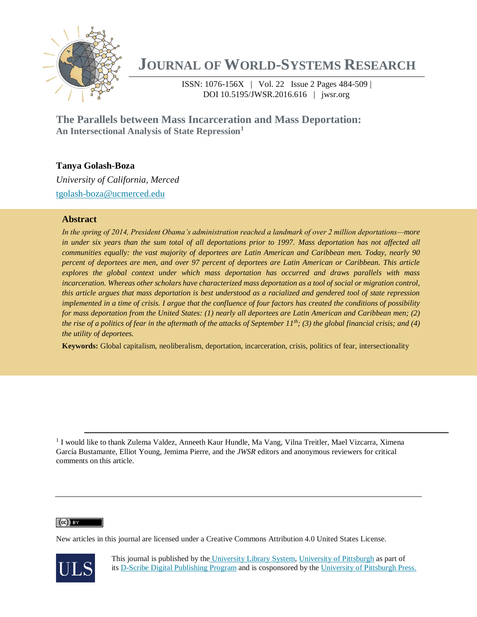

# **JOURNAL OF WORLD-SYSTEMS RESEARCH**

ISSN: 1076-156X | Vol. 22 Issue 2 Pages 484-509 | DOI 10.5195/JWSR.2016.616 | jwsr.org

**The Parallels between Mass Incarceration and Mass Deportation: An Intersectional Analysis of State Repression<sup>1</sup>** 

# **Tanya Golash-Boza**

*University of California, Merced* [tgolash-boza@ucmerced.edu](mailto:tgolash-boza@ucmerced.edu)

# **Abstract**

*In the spring of 2014, President Obama's administration reached a landmark of over 2 million deportations—more*  in under six years than the sum total of all deportations prior to 1997. Mass deportation has not affected all *communities equally: the vast majority of deportees are Latin American and Caribbean men. Today, nearly 90 percent of deportees are men, and over 97 percent of deportees are Latin American or Caribbean. This article explores the global context under which mass deportation has occurred and draws parallels with mass*  incarceration. Whereas other scholars have characterized mass deportation as a tool of social or migration control, *this article argues that mass deportation is best understood as a racialized and gendered tool of state repression implemented in a time of crisis. I argue that the confluence of four factors has created the conditions of possibility for mass deportation from the United States: (1) nearly all deportees are Latin American and Caribbean men; (2) the rise of a politics of fear in the aftermath of the attacks of September 11th; (3) the global financial crisis; and (4) the utility of deportees.*

**Keywords:** Global capitalism, neoliberalism, deportation, incarceration, crisis, politics of fear, intersectionality

<sup>1</sup> I would like to thank Zulema Valdez, Anneeth Kaur Hundle, Ma Vang, Vilna Treitler, Mael Vizcarra, Ximena García Bustamante, Elliot Young, Jemima Pierre, and the *JWSR* editors and anonymous reviewers for critical comments on this article.

# $(cc)$  BY

 $\overline{a}$ 

New articles in this journal are licensed under a Creative Commons Attribution 4.0 United States License.



This journal is published by the [University Library System,](http://www.library.pitt.edu/) [University of Pittsburgh](http://www.pitt.edu/) as part of its [D-Scribe Digital Publishing Program](http://www.library.pitt.edu/articles/digpubtype/index.html) and is cosponsored by the [University of Pittsburgh Press.](http://upress.pitt.edu/)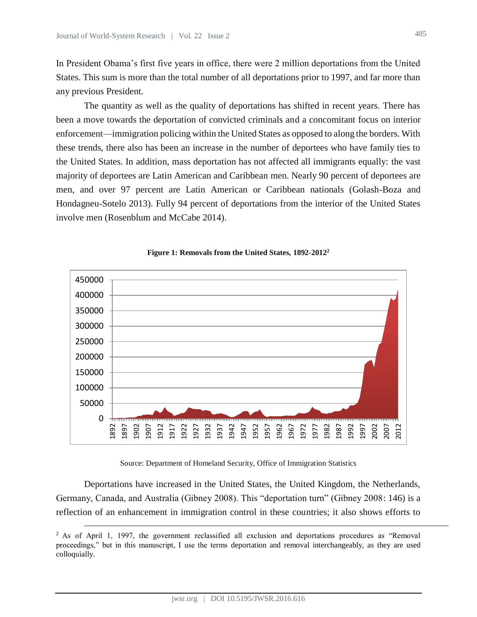$\overline{a}$ 

In President Obama's first five years in office, there were 2 million deportations from the United States. This sum is more than the total number of all deportations prior to 1997, and far more than any previous President.

The quantity as well as the quality of deportations has shifted in recent years. There has been a move towards the deportation of convicted criminals and a concomitant focus on interior enforcement—immigration policing within the United States as opposed to along the borders. With these trends, there also has been an increase in the number of deportees who have family ties to the United States. In addition, mass deportation has not affected all immigrants equally: the vast majority of deportees are Latin American and Caribbean men. Nearly 90 percent of deportees are men, and over 97 percent are Latin American or Caribbean nationals (Golash-Boza and Hondagneu-Sotelo 2013). Fully 94 percent of deportations from the interior of the United States involve men (Rosenblum and McCabe 2014).



**Figure 1: Removals from the United States, 1892-2012<sup>2</sup>**

Source: Department of Homeland Security, Office of Immigration Statistics

Deportations have increased in the United States, the United Kingdom, the Netherlands, Germany, Canada, and Australia (Gibney 2008). This "deportation turn" (Gibney 2008: 146) is a reflection of an enhancement in immigration control in these countries; it also shows efforts to

<sup>&</sup>lt;sup>2</sup> As of April 1, 1997, the government reclassified all exclusion and deportations procedures as "Removal proceedings," but in this manuscript, I use the terms deportation and removal interchangeably, as they are used colloquially.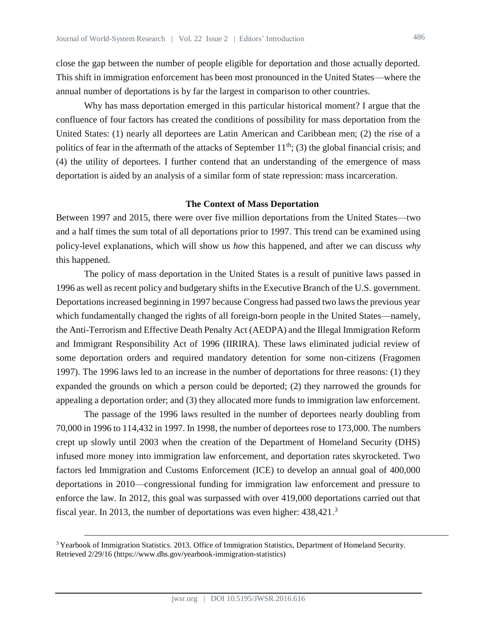close the gap between the number of people eligible for deportation and those actually deported. This shift in immigration enforcement has been most pronounced in the United States—where the annual number of deportations is by far the largest in comparison to other countries.

Why has mass deportation emerged in this particular historical moment? I argue that the confluence of four factors has created the conditions of possibility for mass deportation from the United States: (1) nearly all deportees are Latin American and Caribbean men; (2) the rise of a politics of fear in the aftermath of the attacks of September  $11<sup>th</sup>$ ; (3) the global financial crisis; and (4) the utility of deportees. I further contend that an understanding of the emergence of mass deportation is aided by an analysis of a similar form of state repression: mass incarceration.

#### **The Context of Mass Deportation**

Between 1997 and 2015, there were over five million deportations from the United States—two and a half times the sum total of all deportations prior to 1997. This trend can be examined using policy-level explanations, which will show us *how* this happened, and after we can discuss *why* this happened.

The policy of mass deportation in the United States is a result of punitive laws passed in 1996 as well as recent policy and budgetary shifts in the Executive Branch of the U.S. government. Deportations increased beginning in 1997 because Congress had passed two laws the previous year which fundamentally changed the rights of all foreign-born people in the United States—namely, the Anti-Terrorism and Effective Death Penalty Act (AEDPA) and the Illegal Immigration Reform and Immigrant Responsibility Act of 1996 (IIRIRA). These laws eliminated judicial review of some deportation orders and required mandatory detention for some non-citizens (Fragomen 1997). The 1996 laws led to an increase in the number of deportations for three reasons: (1) they expanded the grounds on which a person could be deported; (2) they narrowed the grounds for appealing a deportation order; and (3) they allocated more funds to immigration law enforcement.

The passage of the 1996 laws resulted in the number of deportees nearly doubling from 70,000 in 1996 to 114,432 in 1997. In 1998, the number of deportees rose to 173,000. The numbers crept up slowly until 2003 when the creation of the Department of Homeland Security (DHS) infused more money into immigration law enforcement, and deportation rates skyrocketed. Two factors led Immigration and Customs Enforcement (ICE) to develop an annual goal of 400,000 deportations in 2010—congressional funding for immigration law enforcement and pressure to enforce the law. In 2012, this goal was surpassed with over 419,000 deportations carried out that fiscal year. In 2013, the number of deportations was even higher: 438,421.<sup>3</sup>

<sup>&</sup>lt;sup>3</sup> Yearbook of Immigration Statistics. 2013. Office of Immigration Statistics, Department of Homeland Security. Retrieved 2/29/16 (https://www.dhs.gov/yearbook-immigration-statistics)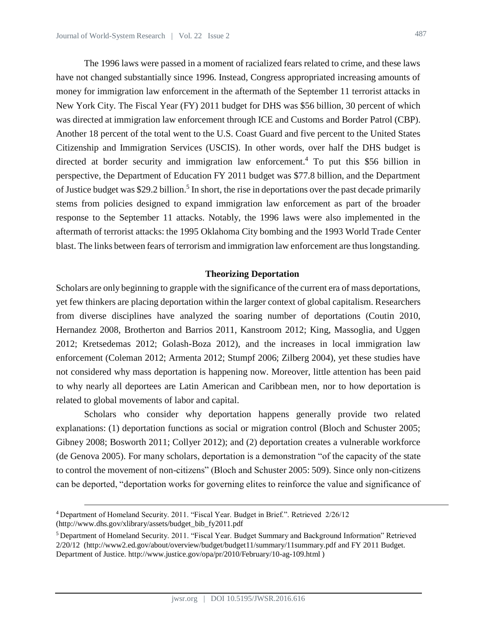The 1996 laws were passed in a moment of racialized fears related to crime, and these laws have not changed substantially since 1996. Instead, Congress appropriated increasing amounts of money for immigration law enforcement in the aftermath of the September 11 terrorist attacks in New York City. The Fiscal Year (FY) 2011 budget for DHS was \$56 billion, 30 percent of which was directed at immigration law enforcement through ICE and Customs and Border Patrol (CBP). Another 18 percent of the total went to the U.S. Coast Guard and five percent to the United States Citizenship and Immigration Services (USCIS). In other words, over half the DHS budget is directed at border security and immigration law enforcement.<sup>4</sup> To put this \$56 billion in perspective, the Department of Education FY 2011 budget was \$77.8 billion, and the Department of Justice budget was \$29.2 billion.<sup>5</sup> In short, the rise in deportations over the past decade primarily stems from policies designed to expand immigration law enforcement as part of the broader response to the September 11 attacks. Notably, the 1996 laws were also implemented in the aftermath of terrorist attacks: the 1995 Oklahoma City bombing and the 1993 World Trade Center blast. The links between fears of terrorism and immigration law enforcement are thus longstanding.

## **Theorizing Deportation**

Scholars are only beginning to grapple with the significance of the current era of mass deportations, yet few thinkers are placing deportation within the larger context of global capitalism. Researchers from diverse disciplines have analyzed the soaring number of deportations (Coutin 2010, Hernandez 2008, Brotherton and Barrios 2011, Kanstroom 2012; King, Massoglia, and Uggen 2012; Kretsedemas 2012; Golash-Boza 2012), and the increases in local immigration law enforcement (Coleman 2012; Armenta 2012; Stumpf 2006; Zilberg 2004), yet these studies have not considered why mass deportation is happening now. Moreover, little attention has been paid to why nearly all deportees are Latin American and Caribbean men, nor to how deportation is related to global movements of labor and capital.

Scholars who consider why deportation happens generally provide two related explanations: (1) deportation functions as social or migration control (Bloch and Schuster 2005; Gibney 2008; Bosworth 2011; Collyer 2012); and (2) deportation creates a vulnerable workforce (de Genova 2005). For many scholars, deportation is a demonstration "of the capacity of the state to control the movement of non-citizens" (Bloch and Schuster 2005: 509). Since only non-citizens can be deported, "deportation works for governing elites to reinforce the value and significance of

<sup>4</sup> Department of Homeland Security. 2011. "Fiscal Year. Budget in Brief.". Retrieved 2/26/12 [\(http://www.dhs.gov/xlibrary/assets/budget\\_bib\\_fy2011.pdf](http://www.dhs.gov/xlibrary/assets/budget_bib_fy2011.pdf)

<sup>5</sup> Department of Homeland Security. 2011. "Fiscal Year. Budget Summary and Background Information" Retrieved 2/20/12 [\(http://www2.ed.gov/about/overview/budget/budget11/summary/11summary.pdf](http://www2.ed.gov/about/overview/budget/budget11/summary/11summary.pdf) and FY 2011 Budget. Department of Justice[. http://www.justice.gov/opa/pr/2010/February/10-ag-109.html](http://www.justice.gov/opa/pr/2010/February/10-ag-109.html) )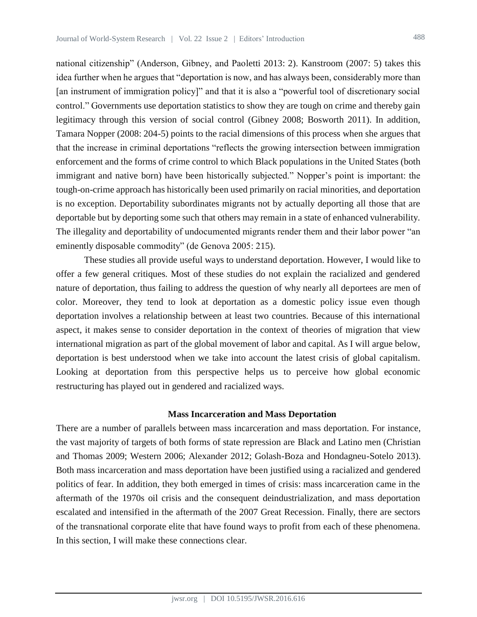national citizenship" (Anderson, Gibney, and Paoletti 2013: 2). Kanstroom (2007: 5) takes this idea further when he argues that "deportation is now, and has always been, considerably more than [an instrument of immigration policy]" and that it is also a "powerful tool of discretionary social control." Governments use deportation statistics to show they are tough on crime and thereby gain legitimacy through this version of social control (Gibney 2008; Bosworth 2011). In addition, Tamara Nopper (2008: 204-5) points to the racial dimensions of this process when she argues that that the increase in criminal deportations "reflects the growing intersection between immigration enforcement and the forms of crime control to which Black populations in the United States (both immigrant and native born) have been historically subjected." Nopper's point is important: the tough-on-crime approach has historically been used primarily on racial minorities, and deportation is no exception. Deportability subordinates migrants not by actually deporting all those that are deportable but by deporting some such that others may remain in a state of enhanced vulnerability. The illegality and deportability of undocumented migrants render them and their labor power "an eminently disposable commodity" (de Genova 2005: 215).

These studies all provide useful ways to understand deportation. However, I would like to offer a few general critiques. Most of these studies do not explain the racialized and gendered nature of deportation, thus failing to address the question of why nearly all deportees are men of color. Moreover, they tend to look at deportation as a domestic policy issue even though deportation involves a relationship between at least two countries. Because of this international aspect, it makes sense to consider deportation in the context of theories of migration that view international migration as part of the global movement of labor and capital. As I will argue below, deportation is best understood when we take into account the latest crisis of global capitalism. Looking at deportation from this perspective helps us to perceive how global economic restructuring has played out in gendered and racialized ways.

#### **Mass Incarceration and Mass Deportation**

There are a number of parallels between mass incarceration and mass deportation. For instance, the vast majority of targets of both forms of state repression are Black and Latino men (Christian and Thomas 2009; Western 2006; Alexander 2012; Golash-Boza and Hondagneu-Sotelo 2013). Both mass incarceration and mass deportation have been justified using a racialized and gendered politics of fear. In addition, they both emerged in times of crisis: mass incarceration came in the aftermath of the 1970s oil crisis and the consequent deindustrialization, and mass deportation escalated and intensified in the aftermath of the 2007 Great Recession. Finally, there are sectors of the transnational corporate elite that have found ways to profit from each of these phenomena. In this section, I will make these connections clear.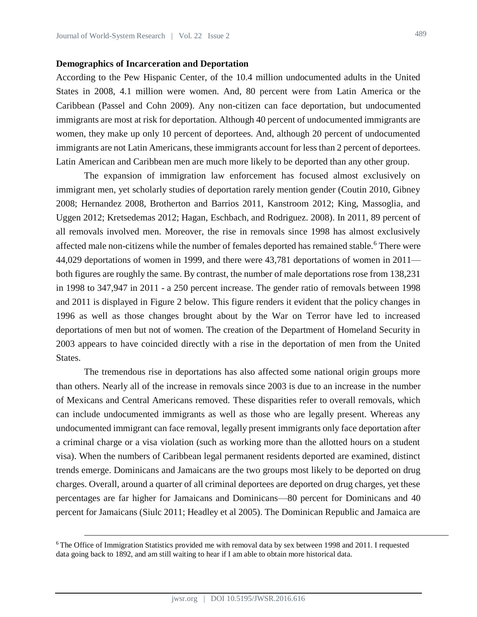#### **Demographics of Incarceration and Deportation**

According to the Pew Hispanic Center, of the 10.4 million undocumented adults in the United States in 2008, 4.1 million were women. And, 80 percent were from Latin America or the Caribbean (Passel and Cohn 2009). Any non-citizen can face deportation, but undocumented immigrants are most at risk for deportation. Although 40 percent of undocumented immigrants are women, they make up only 10 percent of deportees. And, although 20 percent of undocumented immigrants are not Latin Americans, these immigrants account for less than 2 percent of deportees. Latin American and Caribbean men are much more likely to be deported than any other group.

The expansion of immigration law enforcement has focused almost exclusively on immigrant men, yet scholarly studies of deportation rarely mention gender (Coutin 2010, Gibney 2008; Hernandez 2008, Brotherton and Barrios 2011, Kanstroom 2012; King, Massoglia, and Uggen 2012; Kretsedemas 2012; Hagan, Eschbach, and Rodriguez. 2008). In 2011, 89 percent of all removals involved men. Moreover, the rise in removals since 1998 has almost exclusively affected male non-citizens while the number of females deported has remained stable.<sup>6</sup> There were 44,029 deportations of women in 1999, and there were 43,781 deportations of women in 2011 both figures are roughly the same. By contrast, the number of male deportations rose from 138,231 in 1998 to 347,947 in 2011 - a 250 percent increase. The gender ratio of removals between 1998 and 2011 is displayed in Figure 2 below. This figure renders it evident that the policy changes in 1996 as well as those changes brought about by the War on Terror have led to increased deportations of men but not of women. The creation of the Department of Homeland Security in 2003 appears to have coincided directly with a rise in the deportation of men from the United States.

The tremendous rise in deportations has also affected some national origin groups more than others. Nearly all of the increase in removals since 2003 is due to an increase in the number of Mexicans and Central Americans removed. These disparities refer to overall removals, which can include undocumented immigrants as well as those who are legally present. Whereas any undocumented immigrant can face removal, legally present immigrants only face deportation after a criminal charge or a visa violation (such as working more than the allotted hours on a student visa). When the numbers of Caribbean legal permanent residents deported are examined, distinct trends emerge. Dominicans and Jamaicans are the two groups most likely to be deported on drug charges. Overall, around a quarter of all criminal deportees are deported on drug charges, yet these percentages are far higher for Jamaicans and Dominicans—80 percent for Dominicans and 40 percent for Jamaicans (Siulc 2011; Headley et al 2005). The Dominican Republic and Jamaica are

<sup>6</sup> The Office of Immigration Statistics provided me with removal data by sex between 1998 and 2011. I requested data going back to 1892, and am still waiting to hear if I am able to obtain more historical data.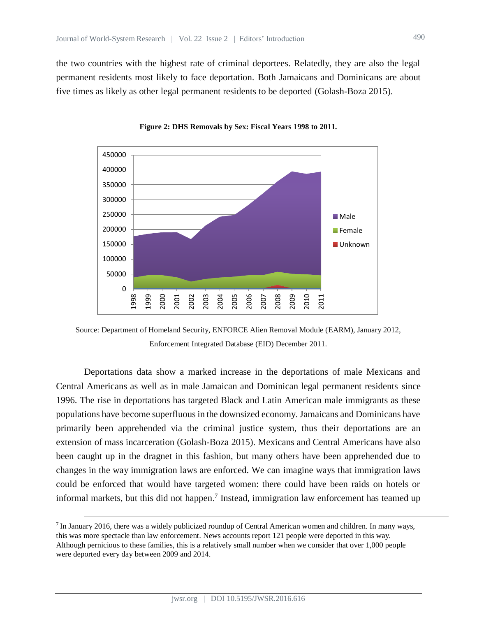the two countries with the highest rate of criminal deportees. Relatedly, they are also the legal permanent residents most likely to face deportation. Both Jamaicans and Dominicans are about five times as likely as other legal permanent residents to be deported (Golash-Boza 2015).



**Figure 2: DHS Removals by Sex: Fiscal Years 1998 to 2011.**

Deportations data show a marked increase in the deportations of male Mexicans and Central Americans as well as in male Jamaican and Dominican legal permanent residents since 1996. The rise in deportations has targeted Black and Latin American male immigrants as these populations have become superfluous in the downsized economy. Jamaicans and Dominicans have primarily been apprehended via the criminal justice system, thus their deportations are an extension of mass incarceration (Golash-Boza 2015). Mexicans and Central Americans have also been caught up in the dragnet in this fashion, but many others have been apprehended due to changes in the way immigration laws are enforced. We can imagine ways that immigration laws could be enforced that would have targeted women: there could have been raids on hotels or informal markets, but this did not happen.<sup>7</sup> Instead, immigration law enforcement has teamed up

Source: Department of Homeland Security, ENFORCE Alien Removal Module (EARM), January 2012, Enforcement Integrated Database (EID) December 2011.

<sup>&</sup>lt;sup>7</sup> In January 2016, there was a widely publicized roundup of Central American women and children. In many ways, this was more spectacle than law enforcement. News accounts report 121 people were deported in this way. Although pernicious to these families, this is a relatively small number when we consider that over 1,000 people were deported every day between 2009 and 2014.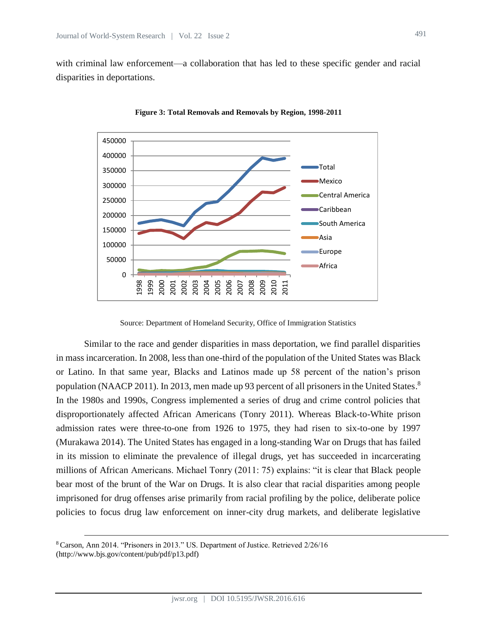with criminal law enforcement—a collaboration that has led to these specific gender and racial disparities in deportations.



**Figure 3: Total Removals and Removals by Region, 1998-2011**

Source: Department of Homeland Security, Office of Immigration Statistics

Similar to the race and gender disparities in mass deportation, we find parallel disparities in mass incarceration. In 2008, less than one-third of the population of the United States was Black or Latino. In that same year, Blacks and Latinos made up 58 percent of the nation's prison population (NAACP 2011). In 2013, men made up 93 percent of all prisoners in the United States.<sup>8</sup> In the 1980s and 1990s, Congress implemented a series of drug and crime control policies that disproportionately affected African Americans (Tonry 2011). Whereas Black-to-White prison admission rates were three-to-one from 1926 to 1975, they had risen to six-to-one by 1997 (Murakawa 2014). The United States has engaged in a long-standing War on Drugs that has failed in its mission to eliminate the prevalence of illegal drugs, yet has succeeded in incarcerating millions of African Americans. Michael Tonry (2011: 75) explains: "it is clear that Black people bear most of the brunt of the War on Drugs. It is also clear that racial disparities among people imprisoned for drug offenses arise primarily from racial profiling by the police, deliberate police policies to focus drug law enforcement on inner-city drug markets, and deliberate legislative

<sup>8</sup> Carson, Ann 2014. "Prisoners in 2013." US. Department of Justice. Retrieved 2/26/16 (http://www.bjs.gov/content/pub/pdf/p13.pdf)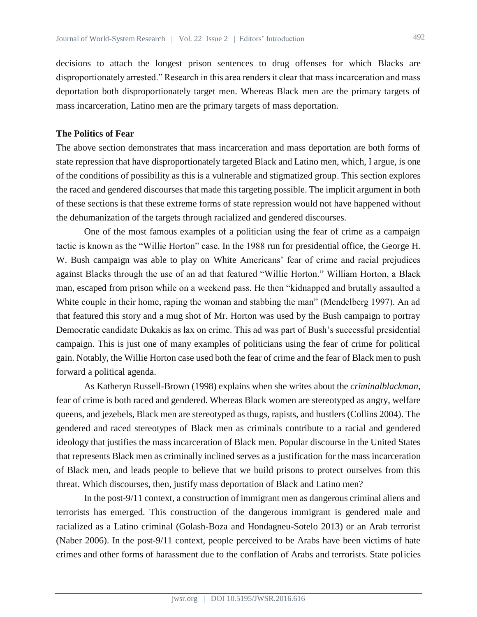decisions to attach the longest prison sentences to drug offenses for which Blacks are disproportionately arrested." Research in this area renders it clear that mass incarceration and mass deportation both disproportionately target men. Whereas Black men are the primary targets of mass incarceration, Latino men are the primary targets of mass deportation.

## **The Politics of Fear**

The above section demonstrates that mass incarceration and mass deportation are both forms of state repression that have disproportionately targeted Black and Latino men, which, I argue, is one of the conditions of possibility as this is a vulnerable and stigmatized group. This section explores the raced and gendered discourses that made this targeting possible. The implicit argument in both of these sections is that these extreme forms of state repression would not have happened without the dehumanization of the targets through racialized and gendered discourses.

One of the most famous examples of a politician using the fear of crime as a campaign tactic is known as the "Willie Horton" case. In the 1988 run for presidential office, the George H. W. Bush campaign was able to play on White Americans' fear of crime and racial prejudices against Blacks through the use of an ad that featured "Willie Horton." William Horton, a Black man, escaped from prison while on a weekend pass. He then "kidnapped and brutally assaulted a White couple in their home, raping the woman and stabbing the man" (Mendelberg 1997). An ad that featured this story and a mug shot of Mr. Horton was used by the Bush campaign to portray Democratic candidate Dukakis as lax on crime. This ad was part of Bush's successful presidential campaign. This is just one of many examples of politicians using the fear of crime for political gain. Notably, the Willie Horton case used both the fear of crime and the fear of Black men to push forward a political agenda.

As Katheryn Russell-Brown (1998) explains when she writes about the *criminalblackman*, fear of crime is both raced and gendered. Whereas Black women are stereotyped as angry, welfare queens, and jezebels, Black men are stereotyped as thugs, rapists, and hustlers (Collins 2004). The gendered and raced stereotypes of Black men as criminals contribute to a racial and gendered ideology that justifies the mass incarceration of Black men. Popular discourse in the United States that represents Black men as criminally inclined serves as a justification for the mass incarceration of Black men, and leads people to believe that we build prisons to protect ourselves from this threat. Which discourses, then, justify mass deportation of Black and Latino men?

In the post-9/11 context, a construction of immigrant men as dangerous criminal aliens and terrorists has emerged. This construction of the dangerous immigrant is gendered male and racialized as a Latino criminal (Golash-Boza and Hondagneu-Sotelo 2013) or an Arab terrorist (Naber 2006). In the post-9/11 context, people perceived to be Arabs have been victims of hate crimes and other forms of harassment due to the conflation of Arabs and terrorists. State policies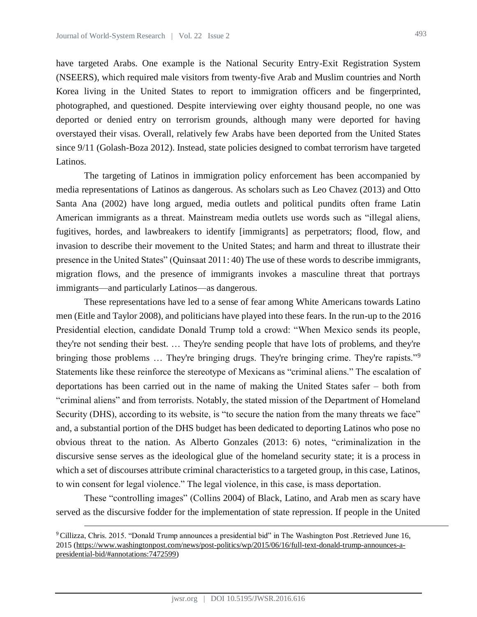have targeted Arabs. One example is the National Security Entry-Exit Registration System (NSEERS), which required male visitors from twenty-five Arab and Muslim countries and North Korea living in the United States to report to immigration officers and be fingerprinted, photographed, and questioned. Despite interviewing over eighty thousand people, no one was deported or denied entry on terrorism grounds, although many were deported for having overstayed their visas. Overall, relatively few Arabs have been deported from the United States since 9/11 (Golash-Boza 2012). Instead, state policies designed to combat terrorism have targeted Latinos.

The targeting of Latinos in immigration policy enforcement has been accompanied by media representations of Latinos as dangerous. As scholars such as Leo Chavez (2013) and Otto Santa Ana (2002) have long argued, media outlets and political pundits often frame Latin American immigrants as a threat. Mainstream media outlets use words such as "illegal aliens, fugitives, hordes, and lawbreakers to identify [immigrants] as perpetrators; flood, flow, and invasion to describe their movement to the United States; and harm and threat to illustrate their presence in the United States" (Quinsaat 2011: 40) The use of these words to describe immigrants, migration flows, and the presence of immigrants invokes a masculine threat that portrays immigrants—and particularly Latinos—as dangerous.

These representations have led to a sense of fear among White Americans towards Latino men (Eitle and Taylor 2008), and politicians have played into these fears. In the run-up to the 2016 Presidential election, candidate Donald Trump told a crowd: "When Mexico sends its people, they're not sending their best. … They're sending people that have lots of problems, and they're bringing those problems ... They're bringing drugs. They're bringing crime. They're rapists."<sup>9</sup> Statements like these reinforce the stereotype of Mexicans as "criminal aliens." The escalation of deportations has been carried out in the name of making the United States safer – both from "criminal aliens" and from terrorists. Notably, the stated mission of the Department of Homeland Security (DHS), according to its website, is "to secure the nation from the many threats we face" and, a substantial portion of the DHS budget has been dedicated to deporting Latinos who pose no obvious threat to the nation. As Alberto Gonzales (2013: 6) notes, "criminalization in the discursive sense serves as the ideological glue of the homeland security state; it is a process in which a set of discourses attribute criminal characteristics to a targeted group, in this case, Latinos, to win consent for legal violence." The legal violence, in this case, is mass deportation.

These "controlling images" (Collins 2004) of Black, Latino, and Arab men as scary have served as the discursive fodder for the implementation of state repression. If people in the United

<sup>9</sup> [Cillizza,](http://www.washingtonpost.com/people/chris-cillizza) Chris. 2015. "Donald Trump announces a presidential bid" in The Washington Post .Retrieved June 16, 2015 [\(https://www.washingtonpost.com/news/post-politics/wp/2015/06/16/full-text-donald-trump-announces-a](https://www.washingtonpost.com/news/post-politics/wp/2015/06/16/full-text-donald-trump-announces-a-presidential-bid/#annotations:7472599)[presidential-bid/#annotations:7472599\)](https://www.washingtonpost.com/news/post-politics/wp/2015/06/16/full-text-donald-trump-announces-a-presidential-bid/#annotations:7472599)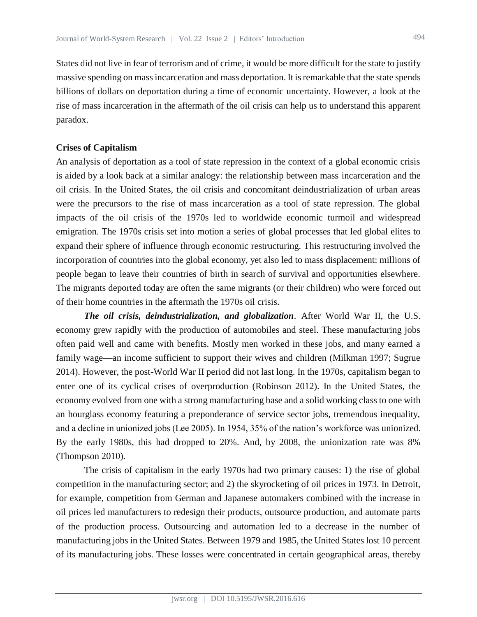States did not live in fear of terrorism and of crime, it would be more difficult for the state to justify massive spending on mass incarceration and mass deportation. It is remarkable that the state spends billions of dollars on deportation during a time of economic uncertainty. However, a look at the rise of mass incarceration in the aftermath of the oil crisis can help us to understand this apparent paradox.

#### **Crises of Capitalism**

An analysis of deportation as a tool of state repression in the context of a global economic crisis is aided by a look back at a similar analogy: the relationship between mass incarceration and the oil crisis. In the United States, the oil crisis and concomitant deindustrialization of urban areas were the precursors to the rise of mass incarceration as a tool of state repression. The global impacts of the oil crisis of the 1970s led to worldwide economic turmoil and widespread emigration. The 1970s crisis set into motion a series of global processes that led global elites to expand their sphere of influence through economic restructuring. This restructuring involved the incorporation of countries into the global economy, yet also led to mass displacement: millions of people began to leave their countries of birth in search of survival and opportunities elsewhere. The migrants deported today are often the same migrants (or their children) who were forced out of their home countries in the aftermath the 1970s oil crisis.

*The oil crisis, deindustrialization, and globalization.* After World War II, the U.S. economy grew rapidly with the production of automobiles and steel. These manufacturing jobs often paid well and came with benefits. Mostly men worked in these jobs, and many earned a family wage—an income sufficient to support their wives and children (Milkman 1997; Sugrue 2014). However, the post-World War II period did not last long. In the 1970s, capitalism began to enter one of its cyclical crises of overproduction (Robinson 2012). In the United States, the economy evolved from one with a strong manufacturing base and a solid working class to one with an hourglass economy featuring a preponderance of service sector jobs, tremendous inequality, and a decline in unionized jobs (Lee 2005). In 1954, 35% of the nation's workforce was unionized. By the early 1980s, this had dropped to 20%. And, by 2008, the unionization rate was 8% (Thompson 2010).

The crisis of capitalism in the early 1970s had two primary causes: 1) the rise of global competition in the manufacturing sector; and 2) the skyrocketing of oil prices in 1973. In Detroit, for example, competition from German and Japanese automakers combined with the increase in oil prices led manufacturers to redesign their products, outsource production, and automate parts of the production process. Outsourcing and automation led to a decrease in the number of manufacturing jobs in the United States. Between 1979 and 1985, the United States lost 10 percent of its manufacturing jobs. These losses were concentrated in certain geographical areas, thereby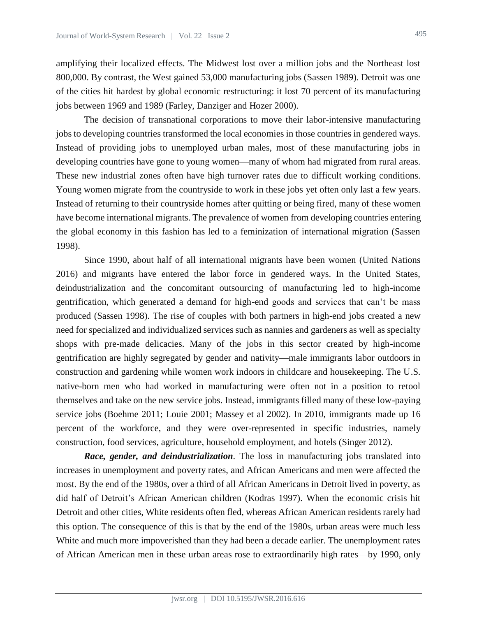amplifying their localized effects. The Midwest lost over a million jobs and the Northeast lost 800,000. By contrast, the West gained 53,000 manufacturing jobs (Sassen 1989). Detroit was one of the cities hit hardest by global economic restructuring: it lost 70 percent of its manufacturing jobs between 1969 and 1989 (Farley, Danziger and Hozer 2000).

The decision of transnational corporations to move their labor-intensive manufacturing jobs to developing countries transformed the local economies in those countries in gendered ways. Instead of providing jobs to unemployed urban males, most of these manufacturing jobs in developing countries have gone to young women—many of whom had migrated from rural areas. These new industrial zones often have high turnover rates due to difficult working conditions. Young women migrate from the countryside to work in these jobs yet often only last a few years. Instead of returning to their countryside homes after quitting or being fired, many of these women have become international migrants. The prevalence of women from developing countries entering the global economy in this fashion has led to a feminization of international migration (Sassen 1998).

Since 1990, about half of all international migrants have been women (United Nations 2016) and migrants have entered the labor force in gendered ways. In the United States, deindustrialization and the concomitant outsourcing of manufacturing led to high-income gentrification, which generated a demand for high-end goods and services that can't be mass produced (Sassen 1998). The rise of couples with both partners in high-end jobs created a new need for specialized and individualized services such as nannies and gardeners as well as specialty shops with pre-made delicacies. Many of the jobs in this sector created by high-income gentrification are highly segregated by gender and nativity—male immigrants labor outdoors in construction and gardening while women work indoors in childcare and housekeeping. The U.S. native-born men who had worked in manufacturing were often not in a position to retool themselves and take on the new service jobs. Instead, immigrants filled many of these low-paying service jobs (Boehme 2011; Louie 2001; Massey et al 2002). In 2010, immigrants made up 16 percent of the workforce, and they were over-represented in specific industries, namely construction, food services, agriculture, household employment, and hotels (Singer 2012).

*Race, gender, and deindustrialization.* The loss in manufacturing jobs translated into increases in unemployment and poverty rates, and African Americans and men were affected the most. By the end of the 1980s, over a third of all African Americans in Detroit lived in poverty, as did half of Detroit's African American children (Kodras 1997). When the economic crisis hit Detroit and other cities, White residents often fled, whereas African American residents rarely had this option. The consequence of this is that by the end of the 1980s, urban areas were much less White and much more impoverished than they had been a decade earlier. The unemployment rates of African American men in these urban areas rose to extraordinarily high rates—by 1990, only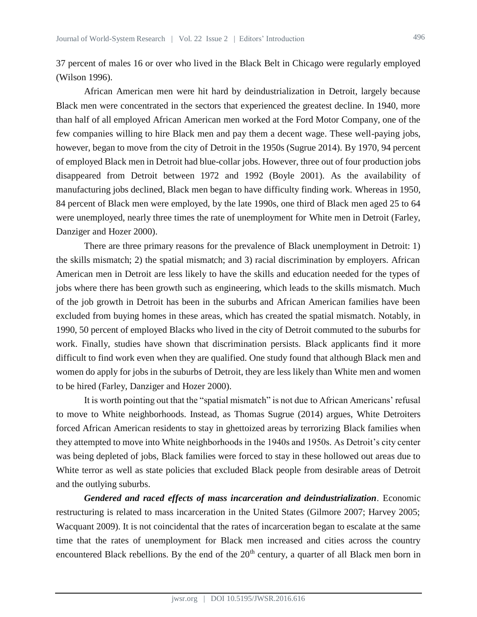37 percent of males 16 or over who lived in the Black Belt in Chicago were regularly employed (Wilson 1996).

African American men were hit hard by deindustrialization in Detroit, largely because Black men were concentrated in the sectors that experienced the greatest decline. In 1940, more than half of all employed African American men worked at the Ford Motor Company, one of the few companies willing to hire Black men and pay them a decent wage. These well-paying jobs, however, began to move from the city of Detroit in the 1950s (Sugrue 2014). By 1970, 94 percent of employed Black men in Detroit had blue-collar jobs. However, three out of four production jobs disappeared from Detroit between 1972 and 1992 (Boyle 2001). As the availability of manufacturing jobs declined, Black men began to have difficulty finding work. Whereas in 1950, 84 percent of Black men were employed, by the late 1990s, one third of Black men aged 25 to 64 were unemployed, nearly three times the rate of unemployment for White men in Detroit (Farley, Danziger and Hozer 2000).

There are three primary reasons for the prevalence of Black unemployment in Detroit: 1) the skills mismatch; 2) the spatial mismatch; and 3) racial discrimination by employers. African American men in Detroit are less likely to have the skills and education needed for the types of jobs where there has been growth such as engineering, which leads to the skills mismatch. Much of the job growth in Detroit has been in the suburbs and African American families have been excluded from buying homes in these areas, which has created the spatial mismatch. Notably, in 1990, 50 percent of employed Blacks who lived in the city of Detroit commuted to the suburbs for work. Finally, studies have shown that discrimination persists. Black applicants find it more difficult to find work even when they are qualified. One study found that although Black men and women do apply for jobs in the suburbs of Detroit, they are less likely than White men and women to be hired (Farley, Danziger and Hozer 2000).

It is worth pointing out that the "spatial mismatch" is not due to African Americans' refusal to move to White neighborhoods. Instead, as Thomas Sugrue (2014) argues, White Detroiters forced African American residents to stay in ghettoized areas by terrorizing Black families when they attempted to move into White neighborhoods in the 1940s and 1950s. As Detroit's city center was being depleted of jobs, Black families were forced to stay in these hollowed out areas due to White terror as well as state policies that excluded Black people from desirable areas of Detroit and the outlying suburbs.

*Gendered and raced effects of mass incarceration and deindustrialization.* Economic restructuring is related to mass incarceration in the United States (Gilmore 2007; Harvey 2005; Wacquant 2009). It is not coincidental that the rates of incarceration began to escalate at the same time that the rates of unemployment for Black men increased and cities across the country encountered Black rebellions. By the end of the  $20<sup>th</sup>$  century, a quarter of all Black men born in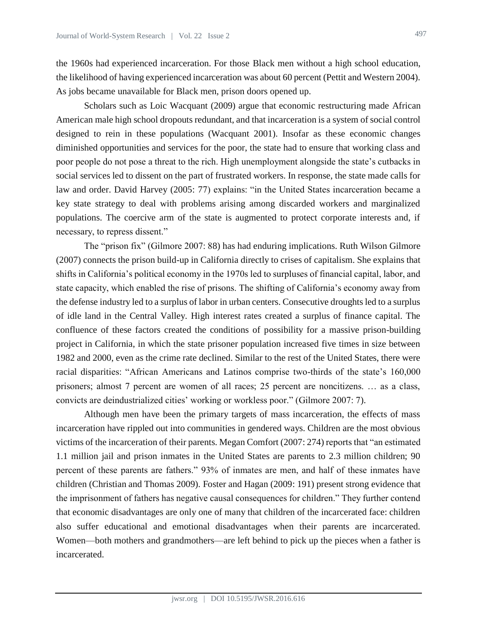the 1960s had experienced incarceration. For those Black men without a high school education, the likelihood of having experienced incarceration was about 60 percent (Pettit and Western 2004). As jobs became unavailable for Black men, prison doors opened up.

Scholars such as Loic Wacquant (2009) argue that economic restructuring made African American male high school dropouts redundant, and that incarceration is a system of social control designed to rein in these populations (Wacquant 2001). Insofar as these economic changes diminished opportunities and services for the poor, the state had to ensure that working class and poor people do not pose a threat to the rich. High unemployment alongside the state's cutbacks in social services led to dissent on the part of frustrated workers. In response, the state made calls for law and order. David Harvey (2005: 77) explains: "in the United States incarceration became a key state strategy to deal with problems arising among discarded workers and marginalized populations. The coercive arm of the state is augmented to protect corporate interests and, if necessary, to repress dissent."

The "prison fix" (Gilmore 2007: 88) has had enduring implications. Ruth Wilson Gilmore (2007) connects the prison build-up in California directly to crises of capitalism. She explains that shifts in California's political economy in the 1970s led to surpluses of financial capital, labor, and state capacity, which enabled the rise of prisons. The shifting of California's economy away from the defense industry led to a surplus of labor in urban centers. Consecutive droughts led to a surplus of idle land in the Central Valley. High interest rates created a surplus of finance capital. The confluence of these factors created the conditions of possibility for a massive prison-building project in California, in which the state prisoner population increased five times in size between 1982 and 2000, even as the crime rate declined. Similar to the rest of the United States, there were racial disparities: "African Americans and Latinos comprise two-thirds of the state's 160,000 prisoners; almost 7 percent are women of all races; 25 percent are noncitizens. … as a class, convicts are deindustrialized cities' working or workless poor." (Gilmore 2007: 7).

Although men have been the primary targets of mass incarceration, the effects of mass incarceration have rippled out into communities in gendered ways. Children are the most obvious victims of the incarceration of their parents. Megan Comfort (2007: 274) reports that "an estimated 1.1 million jail and prison inmates in the United States are parents to 2.3 million children; 90 percent of these parents are fathers." 93% of inmates are men, and half of these inmates have children (Christian and Thomas 2009). Foster and Hagan (2009: 191) present strong evidence that the imprisonment of fathers has negative causal consequences for children." They further contend that economic disadvantages are only one of many that children of the incarcerated face: children also suffer educational and emotional disadvantages when their parents are incarcerated. Women—both mothers and grandmothers—are left behind to pick up the pieces when a father is incarcerated.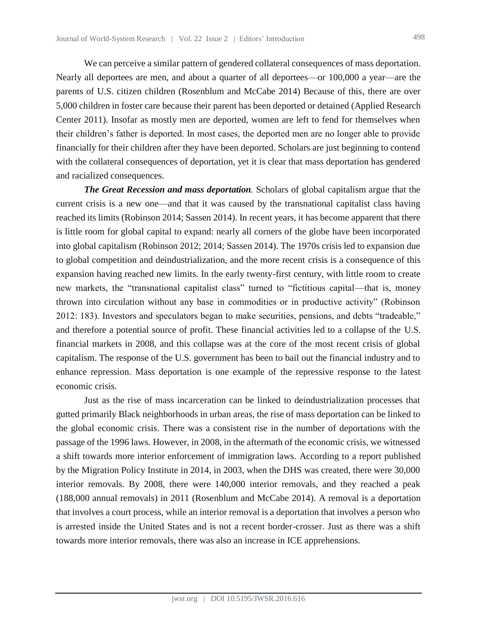We can perceive a similar pattern of gendered collateral consequences of mass deportation. Nearly all deportees are men, and about a quarter of all deportees—or 100,000 a year—are the parents of U.S. citizen children (Rosenblum and McCabe 2014) Because of this, there are over 5,000 children in foster care because their parent has been deported or detained (Applied Research Center 2011). Insofar as mostly men are deported, women are left to fend for themselves when their children's father is deported. In most cases, the deported men are no longer able to provide financially for their children after they have been deported. Scholars are just beginning to contend with the collateral consequences of deportation, yet it is clear that mass deportation has gendered and racialized consequences.

*The Great Recession and mass deportation.* Scholars of global capitalism argue that the current crisis is a new one—and that it was caused by the transnational capitalist class having reached its limits (Robinson 2014; Sassen 2014). In recent years, it has become apparent that there is little room for global capital to expand: nearly all corners of the globe have been incorporated into global capitalism (Robinson 2012; 2014; Sassen 2014). The 1970s crisis led to expansion due to global competition and deindustrialization, and the more recent crisis is a consequence of this expansion having reached new limits. In the early twenty-first century, with little room to create new markets, the "transnational capitalist class" turned to "fictitious capital—that is, money thrown into circulation without any base in commodities or in productive activity" (Robinson 2012: 183). Investors and speculators began to make securities, pensions, and debts "tradeable," and therefore a potential source of profit. These financial activities led to a collapse of the U.S. financial markets in 2008, and this collapse was at the core of the most recent crisis of global capitalism. The response of the U.S. government has been to bail out the financial industry and to enhance repression. Mass deportation is one example of the repressive response to the latest economic crisis.

Just as the rise of mass incarceration can be linked to deindustrialization processes that gutted primarily Black neighborhoods in urban areas, the rise of mass deportation can be linked to the global economic crisis. There was a consistent rise in the number of deportations with the passage of the 1996 laws. However, in 2008, in the aftermath of the economic crisis, we witnessed a shift towards more interior enforcement of immigration laws. According to a report published by the Migration Policy Institute in 2014, in 2003, when the DHS was created, there were 30,000 interior removals. By 2008, there were 140,000 interior removals, and they reached a peak (188,000 annual removals) in 2011 (Rosenblum and McCabe 2014). A removal is a deportation that involves a court process, while an interior removal is a deportation that involves a person who is arrested inside the United States and is not a recent border-crosser. Just as there was a shift towards more interior removals, there was also an increase in ICE apprehensions.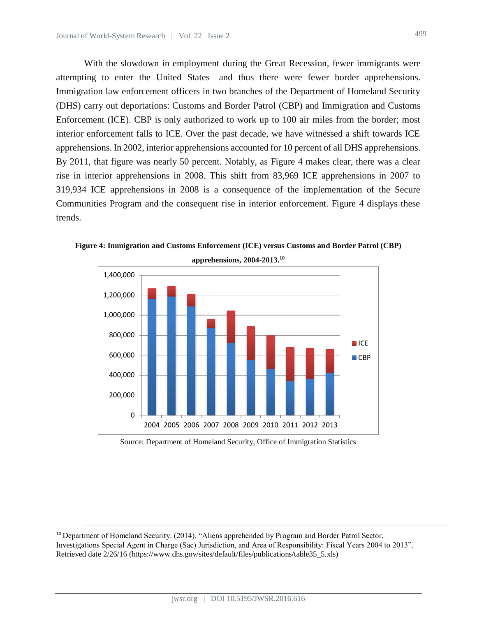With the slowdown in employment during the Great Recession, fewer immigrants were attempting to enter the United States—and thus there were fewer border apprehensions. Immigration law enforcement officers in two branches of the Department of Homeland Security (DHS) carry out deportations: Customs and Border Patrol (CBP) and Immigration and Customs Enforcement (ICE). CBP is only authorized to work up to 100 air miles from the border; most interior enforcement falls to ICE. Over the past decade, we have witnessed a shift towards ICE apprehensions. In 2002, interior apprehensions accounted for 10 percent of all DHS apprehensions. By 2011, that figure was nearly 50 percent. Notably, as Figure 4 makes clear, there was a clear rise in interior apprehensions in 2008. This shift from 83,969 ICE apprehensions in 2007 to 319,934 ICE apprehensions in 2008 is a consequence of the implementation of the Secure Communities Program and the consequent rise in interior enforcement. Figure 4 displays these trends.



**Figure 4: Immigration and Customs Enforcement (ICE) versus Customs and Border Patrol (CBP)** 

Source: Department of Homeland Security, Office of Immigration Statistics

<sup>&</sup>lt;sup>10</sup> Department of Homeland Security. (2014). "Aliens apprehended by Program and Border Patrol Sector, Investigations Special Agent in Charge (Sac) Jurisdiction, and Area of Responsibility: Fiscal Years 2004 to 2013". Retrieved date 2/26/16 (https://www.dhs.gov/sites/default/files/publications/table35\_5.xls)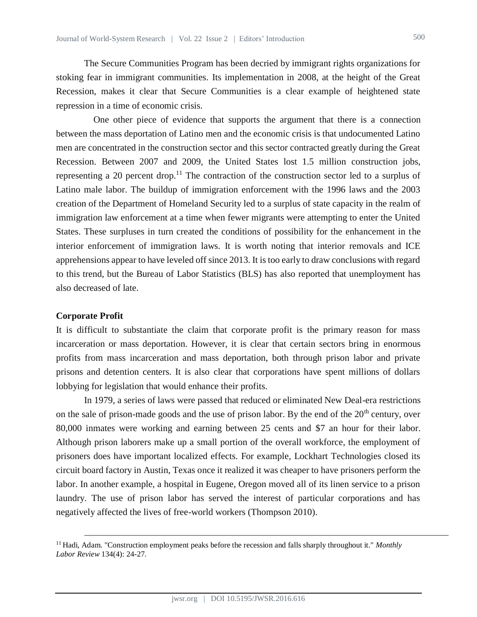The Secure Communities Program has been decried by immigrant rights organizations for stoking fear in immigrant communities. Its implementation in 2008, at the height of the Great Recession, makes it clear that Secure Communities is a clear example of heightened state repression in a time of economic crisis.

One other piece of evidence that supports the argument that there is a connection between the mass deportation of Latino men and the economic crisis is that undocumented Latino men are concentrated in the construction sector and this sector contracted greatly during the Great Recession. Between 2007 and 2009, the United States lost 1.5 million construction jobs, representing a 20 percent drop.<sup>11</sup> The contraction of the construction sector led to a surplus of Latino male labor. The buildup of immigration enforcement with the 1996 laws and the 2003 creation of the Department of Homeland Security led to a surplus of state capacity in the realm of immigration law enforcement at a time when fewer migrants were attempting to enter the United States. These surpluses in turn created the conditions of possibility for the enhancement in the interior enforcement of immigration laws. It is worth noting that interior removals and ICE apprehensions appear to have leveled off since 2013. It is too early to draw conclusions with regard to this trend, but the Bureau of Labor Statistics (BLS) has also reported that unemployment has also decreased of late.

#### **Corporate Profit**

 $\overline{a}$ 

It is difficult to substantiate the claim that corporate profit is the primary reason for mass incarceration or mass deportation. However, it is clear that certain sectors bring in enormous profits from mass incarceration and mass deportation, both through prison labor and private prisons and detention centers. It is also clear that corporations have spent millions of dollars lobbying for legislation that would enhance their profits.

In 1979, a series of laws were passed that reduced or eliminated New Deal-era restrictions on the sale of prison-made goods and the use of prison labor. By the end of the  $20<sup>th</sup>$  century, over 80,000 inmates were working and earning between 25 cents and \$7 an hour for their labor. Although prison laborers make up a small portion of the overall workforce, the employment of prisoners does have important localized effects. For example, Lockhart Technologies closed its circuit board factory in Austin, Texas once it realized it was cheaper to have prisoners perform the labor. In another example, a hospital in Eugene, Oregon moved all of its linen service to a prison laundry. The use of prison labor has served the interest of particular corporations and has negatively affected the lives of free-world workers (Thompson 2010).

<sup>11</sup> Hadi, Adam. "Construction employment peaks before the recession and falls sharply throughout it." *Monthly Labor Review* 134(4): 24-27.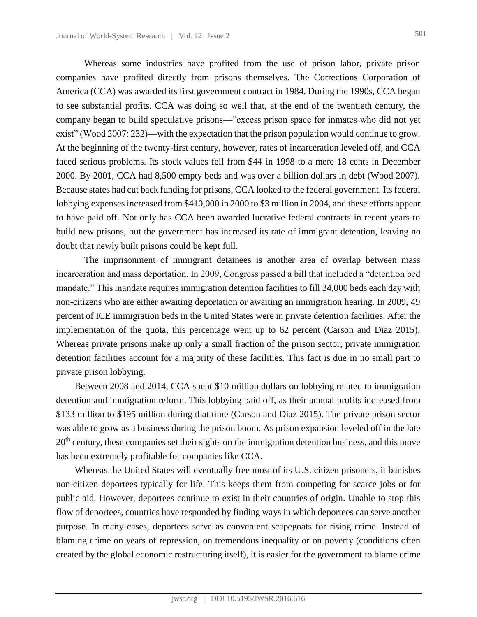Whereas some industries have profited from the use of prison labor, private prison companies have profited directly from prisons themselves. The Corrections Corporation of America (CCA) was awarded its first government contract in 1984. During the 1990s, CCA began to see substantial profits. CCA was doing so well that, at the end of the twentieth century, the company began to build speculative prisons—"excess prison space for inmates who did not yet exist" (Wood 2007: 232)—with the expectation that the prison population would continue to grow. At the beginning of the twenty-first century, however, rates of incarceration leveled off, and CCA faced serious problems. Its stock values fell from \$44 in 1998 to a mere 18 cents in December 2000. By 2001, CCA had 8,500 empty beds and was over a billion dollars in debt (Wood 2007). Because states had cut back funding for prisons, CCA looked to the federal government. Its federal lobbying expenses increased from \$410,000 in 2000 to \$3 million in 2004, and these efforts appear to have paid off. Not only has CCA been awarded lucrative federal contracts in recent years to build new prisons, but the government has increased its rate of immigrant detention, leaving no doubt that newly built prisons could be kept full.

The imprisonment of immigrant detainees is another area of overlap between mass incarceration and mass deportation. In 2009, Congress passed a bill that included a "detention bed mandate." This mandate requires immigration detention facilities to fill 34,000 beds each day with non-citizens who are either awaiting deportation or awaiting an immigration hearing. In 2009, 49 percent of ICE immigration beds in the United States were in private detention facilities. After the implementation of the quota, this percentage went up to 62 percent (Carson and Diaz 2015). Whereas private prisons make up only a small fraction of the prison sector, private immigration detention facilities account for a majority of these facilities. This fact is due in no small part to private prison lobbying.

Between 2008 and 2014, CCA spent \$10 million dollars on lobbying related to immigration detention and immigration reform. This lobbying paid off, as their annual profits increased from \$133 million to \$195 million during that time (Carson and Diaz 2015). The private prison sector was able to grow as a business during the prison boom. As prison expansion leveled off in the late 20<sup>th</sup> century, these companies set their sights on the immigration detention business, and this move has been extremely profitable for companies like CCA.

Whereas the United States will eventually free most of its U.S. citizen prisoners, it banishes non-citizen deportees typically for life. This keeps them from competing for scarce jobs or for public aid. However, deportees continue to exist in their countries of origin. Unable to stop this flow of deportees, countries have responded by finding ways in which deportees can serve another purpose. In many cases, deportees serve as convenient scapegoats for rising crime. Instead of blaming crime on years of repression, on tremendous inequality or on poverty (conditions often created by the global economic restructuring itself), it is easier for the government to blame crime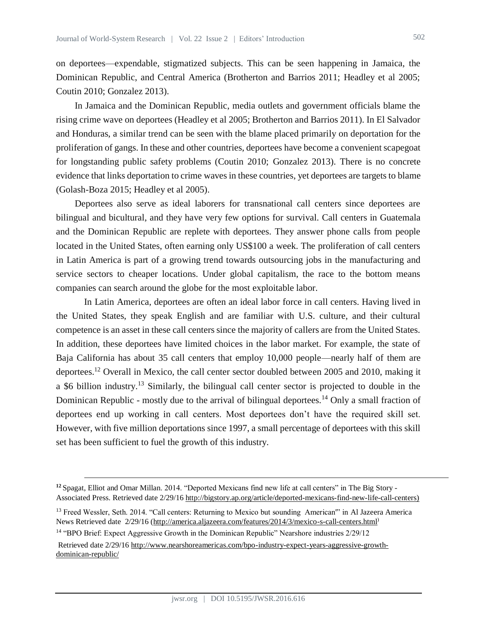on deportees—expendable, stigmatized subjects. This can be seen happening in Jamaica, the Dominican Republic, and Central America (Brotherton and Barrios 2011; Headley et al 2005; Coutin 2010; Gonzalez 2013).

In Jamaica and the Dominican Republic, media outlets and government officials blame the rising crime wave on deportees (Headley et al 2005; Brotherton and Barrios 2011). In El Salvador and Honduras, a similar trend can be seen with the blame placed primarily on deportation for the proliferation of gangs. In these and other countries, deportees have become a convenient scapegoat for longstanding public safety problems (Coutin 2010; Gonzalez 2013). There is no concrete evidence that links deportation to crime waves in these countries, yet deportees are targets to blame (Golash-Boza 2015; Headley et al 2005).

Deportees also serve as ideal laborers for transnational call centers since deportees are bilingual and bicultural, and they have very few options for survival. Call centers in Guatemala and the Dominican Republic are replete with deportees. They answer phone calls from people located in the United States, often earning only US\$100 a week. The proliferation of call centers in Latin America is part of a growing trend towards outsourcing jobs in the manufacturing and service sectors to cheaper locations. Under global capitalism, the race to the bottom means companies can search around the globe for the most exploitable labor.

In Latin America, deportees are often an ideal labor force in call centers. Having lived in the United States, they speak English and are familiar with U.S. culture, and their cultural competence is an asset in these call centers since the majority of callers are from the United States. In addition, these deportees have limited choices in the labor market. For example, the state of Baja California has about 35 call centers that employ 10,000 people—nearly half of them are deportees.<sup>12</sup> Overall in Mexico, the call center sector doubled between 2005 and 2010, making it a \$6 billion industry.<sup>13</sup> Similarly, the bilingual call center sector is projected to double in the Dominican Republic - mostly due to the arrival of bilingual deportees.<sup>14</sup> Only a small fraction of deportees end up working in call centers. Most deportees don't have the required skill set. However, with five million deportations since 1997, a small percentage of deportees with this skill set has been sufficient to fuel the growth of this industry.

**<sup>12</sup>**Spagat[, Elliot a](http://bigstory.ap.org/author/elliot-spagat)nd [Omar Millan.](http://bigstory.ap.org/author/omar-millan) 2014. "Deported Mexicans find new life at call centers" in [The Big Story -](https://www.google.com/url?sa=t&rct=j&q=&esrc=s&source=web&cd=1&cad=rja&uact=8&ved=0ahUKEwiCpMS21JnLAhVO4mMKHX7ZDZYQFggcMAA&url=http%3A%2F%2Fbigstory.ap.org%2F&usg=AFQjCNEQ6m4mhsBwMqGCWzYAEI9W3o08JA&sig2=zu8sW8NQOdiSiM4gAfbXcQ&bvm=bv.115339255,d.cGc) [Associated Press.](https://www.google.com/url?sa=t&rct=j&q=&esrc=s&source=web&cd=1&cad=rja&uact=8&ved=0ahUKEwiCpMS21JnLAhVO4mMKHX7ZDZYQFggcMAA&url=http%3A%2F%2Fbigstory.ap.org%2F&usg=AFQjCNEQ6m4mhsBwMqGCWzYAEI9W3o08JA&sig2=zu8sW8NQOdiSiM4gAfbXcQ&bvm=bv.115339255,d.cGc) Retrieved date 2/29/16 [http://bigstory.ap.org/article/deported-mexicans-find-new-life-call-centers\)](http://bigstory.ap.org/article/deported-mexicans-find-new-life-call-centers))

<sup>&</sup>lt;sup>13</sup> Freed Wessler, Seth. 2014. "Call centers: Returning to Mexico but sounding American" in Al Jazeera America News Retrieved date 2/29/16 [\(http://america.aljazeera.com/features/2014/3/mexico-s-call-centers.html](http://america.aljazeera.com/features/2014/3/mexico-s-call-centers.html))

<sup>&</sup>lt;sup>14</sup> "BPO Brief: Expect Aggressive Growth in the Dominican Republic" Nearshore industries 2/29/12

Retrieved date 2/29/16 [http://www.nearshoreamericas.com/bpo-industry-expect-years-aggressive-growth](http://www.nearshoreamericas.com/bpo-industry-expect-years-aggressive-growth-dominican-republic/)[dominican-republic/](http://www.nearshoreamericas.com/bpo-industry-expect-years-aggressive-growth-dominican-republic/)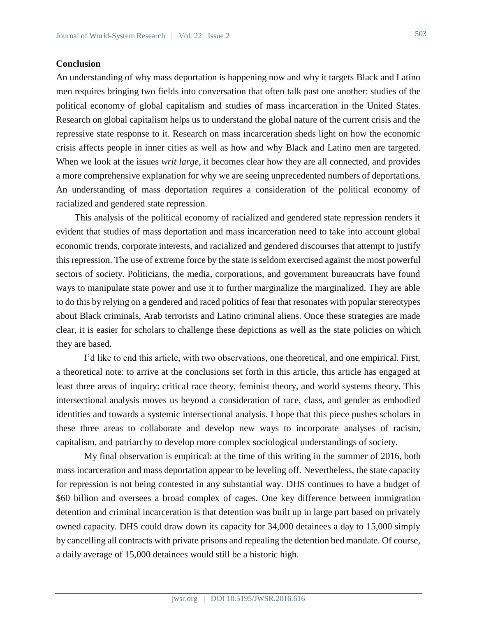## **Conclusion**

An understanding of why mass deportation is happening now and why it targets Black and Latino men requires bringing two fields into conversation that often talk past one another: studies of the political economy of global capitalism and studies of mass incarceration in the United States. Research on global capitalism helps us to understand the global nature of the current crisis and the repressive state response to it. Research on mass incarceration sheds light on how the economic crisis affects people in inner cities as well as how and why Black and Latino men are targeted. When we look at the issues *writ large*, it becomes clear how they are all connected, and provides a more comprehensive explanation for why we are seeing unprecedented numbers of deportations. An understanding of mass deportation requires a consideration of the political economy of racialized and gendered state repression.

This analysis of the political economy of racialized and gendered state repression renders it evident that studies of mass deportation and mass incarceration need to take into account global economic trends, corporate interests, and racialized and gendered discourses that attempt to justify this repression. The use of extreme force by the state is seldom exercised against the most powerful sectors of society. Politicians, the media, corporations, and government bureaucrats have found ways to manipulate state power and use it to further marginalize the marginalized. They are able to do this by relying on a gendered and raced politics of fear that resonates with popular stereotypes about Black criminals, Arab terrorists and Latino criminal aliens. Once these strategies are made clear, it is easier for scholars to challenge these depictions as well as the state policies on which they are based.

I'd like to end this article, with two observations, one theoretical, and one empirical. First, a theoretical note: to arrive at the conclusions set forth in this article, this article has engaged at least three areas of inquiry: critical race theory, feminist theory, and world systems theory. This intersectional analysis moves us beyond a consideration of race, class, and gender as embodied identities and towards a systemic intersectional analysis. I hope that this piece pushes scholars in these three areas to collaborate and develop new ways to incorporate analyses of racism, capitalism, and patriarchy to develop more complex sociological understandings of society.

My final observation is empirical: at the time of this writing in the summer of 2016, both mass incarceration and mass deportation appear to be leveling off. Nevertheless, the state capacity for repression is not being contested in any substantial way. DHS continues to have a budget of \$60 billion and oversees a broad complex of cages. One key difference between immigration detention and criminal incarceration is that detention was built up in large part based on privately owned capacity. DHS could draw down its capacity for 34,000 detainees a day to 15,000 simply by cancelling all contracts with private prisons and repealing the detention bed mandate. Of course, a daily average of 15,000 detainees would still be a historic high.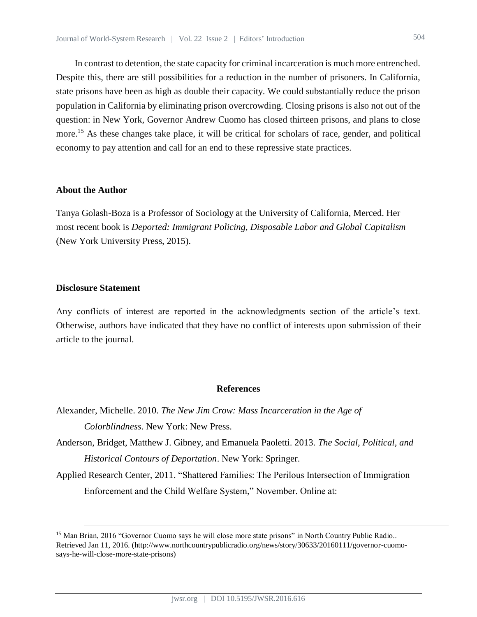In contrast to detention, the state capacity for criminal incarceration is much more entrenched. Despite this, there are still possibilities for a reduction in the number of prisoners. In California, state prisons have been as high as double their capacity. We could substantially reduce the prison population in California by eliminating prison overcrowding. Closing prisons is also not out of the question: in New York, Governor Andrew Cuomo has closed thirteen prisons, and plans to close more.<sup>15</sup> As these changes take place, it will be critical for scholars of race, gender, and political economy to pay attention and call for an end to these repressive state practices.

## **About the Author**

Tanya Golash-Boza is a Professor of Sociology at the University of California, Merced. Her most recent book is *Deported: Immigrant Policing, Disposable Labor and Global Capitalism* (New York University Press, 2015).

# **Disclosure Statement**

 $\overline{a}$ 

Any conflicts of interest are reported in the acknowledgments section of the article's text. Otherwise, authors have indicated that they have no conflict of interests upon submission of their article to the journal.

### **References**

Alexander, Michelle. 2010. *The New Jim Crow: Mass Incarceration in the Age of Colorblindness*. New York: New Press.

Anderson, Bridget, Matthew J. Gibney, and Emanuela Paoletti. 2013. *The Social, Political, and Historical Contours of Deportation*. New York: Springer.

Applied Research Center, 2011. "Shattered Families: The Perilous Intersection of Immigration Enforcement and the Child Welfare System," November. Online at:

<sup>&</sup>lt;sup>15</sup> Man Brian, 2016 "Governor Cuomo says he will close more state prisons" in North Country Public Radio.. Retrieved Jan 11, 2016. (http://www.northcountrypublicradio.org/news/story/30633/20160111/governor-cuomosays-he-will-close-more-state-prisons)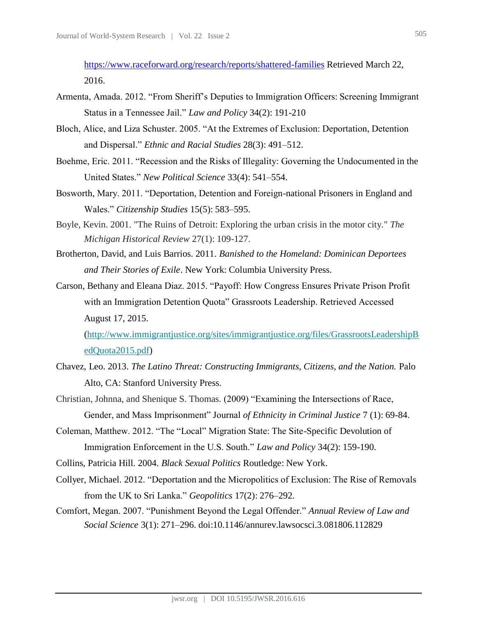<https://www.raceforward.org/research/reports/shattered-families> Retrieved March 22, 2016.

- Armenta, Amada. 2012. "From Sheriff's Deputies to Immigration Officers: Screening Immigrant Status in a Tennessee Jail." *Law and Policy* 34(2): 191-210
- Bloch, Alice, and Liza Schuster. 2005. "At the Extremes of Exclusion: Deportation, Detention and Dispersal." *Ethnic and Racial Studies* 28(3): 491–512.
- Boehme, Eric. 2011. "Recession and the Risks of Illegality: Governing the Undocumented in the United States." *New Political Science* 33(4): 541–554.
- Bosworth, Mary. 2011. "Deportation, Detention and Foreign-national Prisoners in England and Wales." *Citizenship Studies* 15(5): 583–595.
- Boyle, Kevin. 2001. "The Ruins of Detroit: Exploring the urban crisis in the motor city." *The Michigan Historical Review* 27(1): 109-127.
- Brotherton, David, and Luis Barrios. 2011. *Banished to the Homeland: Dominican Deportees and Their Stories of Exile*. New York: Columbia University Press.
- Carson, Bethany and Eleana Diaz. 2015. "Payoff: How Congress Ensures Private Prison Profit with an Immigration Detention Quota" Grassroots Leadership. Retrieved Accessed August 17, 2015.

[\(http://www.immigrantjustice.org/sites/immigrantjustice.org/files/GrassrootsLeadershipB](http://www.immigrantjustice.org/sites/immigrantjustice.org/files/GrassrootsLeadershipBedQuota2015.pdf) [edQuota2015.pdf\)](http://www.immigrantjustice.org/sites/immigrantjustice.org/files/GrassrootsLeadershipBedQuota2015.pdf)

- Chavez, Leo. 2013. *The Latino Threat: Constructing Immigrants, Citizens, and the Nation.* Palo Alto, CA: Stanford University Press.
- Christian, Johnna, and Shenique S. Thomas. (2009) "Examining the Intersections of Race, Gender, and Mass Imprisonment" Journal *of Ethnicity in Criminal Justice* 7 (1): 69-84.
- Coleman, Matthew. 2012. "The "Local" Migration State: The Site-Specific Devolution of Immigration Enforcement in the U.S. South." *Law and Policy* 34(2): 159-190.

Collins, Patricia Hill. 2004. *Black Sexual Politics* Routledge: New York.

- Collyer, Michael. 2012. "Deportation and the Micropolitics of Exclusion: The Rise of Removals from the UK to Sri Lanka." *Geopolitics* 17(2): 276–292.
- Comfort, Megan. 2007. "Punishment Beyond the Legal Offender." *Annual Review of Law and Social Science* 3(1): 271–296. doi:10.1146/annurev.lawsocsci.3.081806.112829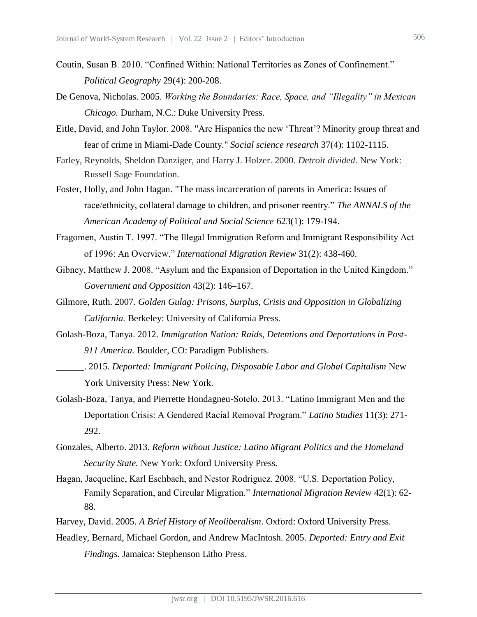- Coutin, Susan B. 2010. "Confined Within: National Territories as Zones of Confinement." *Political Geography* 29(4): 200-208.
- De Genova, Nicholas. 2005. *Working the Boundaries: Race, Space, and "Illegality" in Mexican Chicago.* Durham, N.C.: Duke University Press.
- Eitle, David, and John Taylor. 2008. "Are Hispanics the new 'Threat'? Minority group threat and fear of crime in Miami-Dade County." *Social science research* 37(4): 1102-1115.
- Farley, Reynolds, Sheldon Danziger, and Harry J. Holzer. 2000. *Detroit divided*. New York: Russell Sage Foundation.
- Foster, Holly, and John Hagan. "The mass incarceration of parents in America: Issues of race/ethnicity, collateral damage to children, and prisoner reentry." *The ANNALS of the American Academy of Political and Social Science* 623(1): 179-194.
- Fragomen, Austin T. 1997. "The Illegal Immigration Reform and Immigrant Responsibility Act of 1996: An Overview." *International Migration Review* 31(2): 438-460.
- Gibney, Matthew J. 2008. "Asylum and the Expansion of Deportation in the United Kingdom." *Government and Opposition* 43(2): 146–167.
- Gilmore, Ruth. 2007. *Golden Gulag: Prisons, Surplus, Crisis and Opposition in Globalizing California.* Berkeley: University of California Press.
- Golash-Boza, Tanya. 2012. *Immigration Nation: Raids, Detentions and Deportations in Post-911 America.* Boulder, CO: Paradigm Publishers.
	- \_\_\_\_\_\_. 2015. *Deported: Immigrant Policing, Disposable Labor and Global Capitalism* New York University Press: New York.
- Golash-Boza, Tanya, and Pierrette Hondagneu-Sotelo. 2013. "Latino Immigrant Men and the Deportation Crisis: A Gendered Racial Removal Program." *Latino Studies* 11(3): 271- 292.
- Gonzales, Alberto. 2013. *Reform without Justice: Latino Migrant Politics and the Homeland Security State.* New York: Oxford University Press.
- Hagan, Jacqueline, Karl Eschbach, and Nestor Rodriguez. 2008. "U.S. Deportation Policy, Family Separation, and Circular Migration." *International Migration Review* 42(1): 62- 88.
- Harvey, David. 2005. *A Brief History of Neoliberalism*. Oxford: Oxford University Press.
- Headley, Bernard, Michael Gordon, and Andrew MacIntosh. 2005. *Deported: Entry and Exit Findings.* Jamaica: Stephenson Litho Press.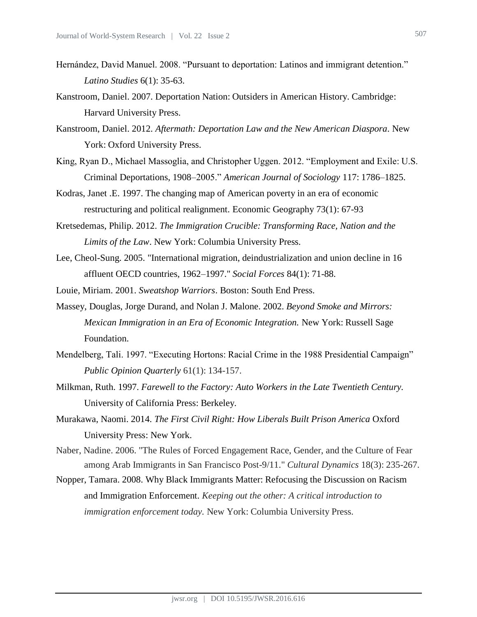- Hernández, David Manuel. 2008. "Pursuant to deportation: Latinos and immigrant detention." *Latino Studies* 6(1): 35-63.
- Kanstroom, Daniel. 2007. Deportation Nation: Outsiders in American History. Cambridge: Harvard University Press.
- Kanstroom, Daniel. 2012. *Aftermath: Deportation Law and the New American Diaspora.* New York: Oxford University Press.
- King, Ryan D., Michael Massoglia, and Christopher Uggen. 2012. "Employment and Exile: U.S. Criminal Deportations, 1908–2005." *American Journal of Sociology* 117: 1786–1825.
- Kodras, Janet .E. 1997. The changing map of American poverty in an era of economic restructuring and political realignment. Economic Geography 73(1): 67-93
- Kretsedemas, Philip. 2012. *The Immigration Crucible: Transforming Race, Nation and the Limits of the Law*. New York: Columbia University Press.
- Lee, Cheol-Sung. 2005. "International migration, deindustrialization and union decline in 16 affluent OECD countries, 1962–1997." *Social Forces* 84(1): 71-88.
- Louie, Miriam. 2001. *Sweatshop Warriors*. Boston: South End Press.
- Massey, Douglas, Jorge Durand, and Nolan J. Malone. 2002. *Beyond Smoke and Mirrors: Mexican Immigration in an Era of Economic Integration.* New York: Russell Sage Foundation.
- Mendelberg, Tali. 1997. "Executing Hortons: Racial Crime in the 1988 Presidential Campaign" *Public Opinion Quarterly* 61(1): 134-157.
- Milkman, Ruth. 1997. *Farewell to the Factory: Auto Workers in the Late Twentieth Century.* University of California Press: Berkeley.
- Murakawa, Naomi. 2014. *The First Civil Right: How Liberals Built Prison America* Oxford University Press: New York.
- Naber, Nadine. 2006. "The Rules of Forced Engagement Race, Gender, and the Culture of Fear among Arab Immigrants in San Francisco Post-9/11." *Cultural Dynamics* 18(3): 235-267.
- Nopper, Tamara. 2008. Why Black Immigrants Matter: Refocusing the Discussion on Racism and Immigration Enforcement. *Keeping out the other: A critical introduction to immigration enforcement today.* New York: Columbia University Press.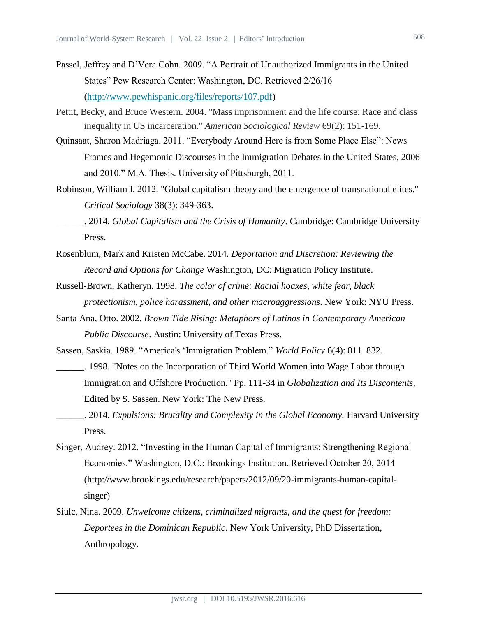- Passel, Jeffrey and D'Vera Cohn. 2009. "A Portrait of Unauthorized Immigrants in the United States" Pew Research Center: Washington, DC. Retrieved 2/26/16 [\(http://www.pewhispanic.org/files/reports/107.pdf\)](http://www.pewhispanic.org/files/reports/107.pdf)
- Pettit, Becky, and Bruce Western. 2004. "Mass imprisonment and the life course: Race and class inequality in US incarceration." *American Sociological Review* 69(2): 151-169.
- Quinsaat, Sharon Madriaga. 2011. "Everybody Around Here is from Some Place Else": News Frames and Hegemonic Discourses in the Immigration Debates in the United States, 2006 and 2010." M.A. Thesis. University of Pittsburgh, 2011.
- Robinson, William I. 2012. "Global capitalism theory and the emergence of transnational elites." *Critical Sociology* 38(3): 349-363.
	- \_\_\_\_\_\_. 2014. *Global Capitalism and the Crisis of Humanity*. Cambridge: Cambridge University Press.
- Rosenblum, Mark and Kristen McCabe. 2014. *Deportation and Discretion: Reviewing the Record and Options for Change* Washington, DC: Migration Policy Institute.
- Russell-Brown, Katheryn. 1998. *The color of crime: Racial hoaxes, white fear, black protectionism, police harassment, and other macroaggressions*. New York: NYU Press.
- Santa Ana, Otto. 2002. *Brown Tide Rising: Metaphors of Latinos in Contemporary American Public Discourse*. Austin: University of Texas Press.
- Sassen, Saskia. 1989. "America's 'Immigration Problem." *World Policy* 6(4): 811–832.
- \_\_\_\_\_\_. 1998. "Notes on the Incorporation of Third World Women into Wage Labor through Immigration and Offshore Production." Pp. 111-34 in *Globalization and Its Discontents*, Edited by S. Sassen. New York: The New Press.
- \_\_\_\_\_\_. 2014. *Expulsions: Brutality and Complexity in the Global Economy.* Harvard University Press.
- Singer, Audrey. 2012. "Investing in the Human Capital of Immigrants: Strengthening Regional Economies." Washington, D.C.: Brookings Institution. Retrieved October 20, 2014 (http://www.brookings.edu/research/papers/2012/09/20-immigrants-human-capitalsinger)
- Siulc, Nina. 2009. *Unwelcome citizens, criminalized migrants, and the quest for freedom: Deportees in the Dominican Republic*. New York University, PhD Dissertation, Anthropology.